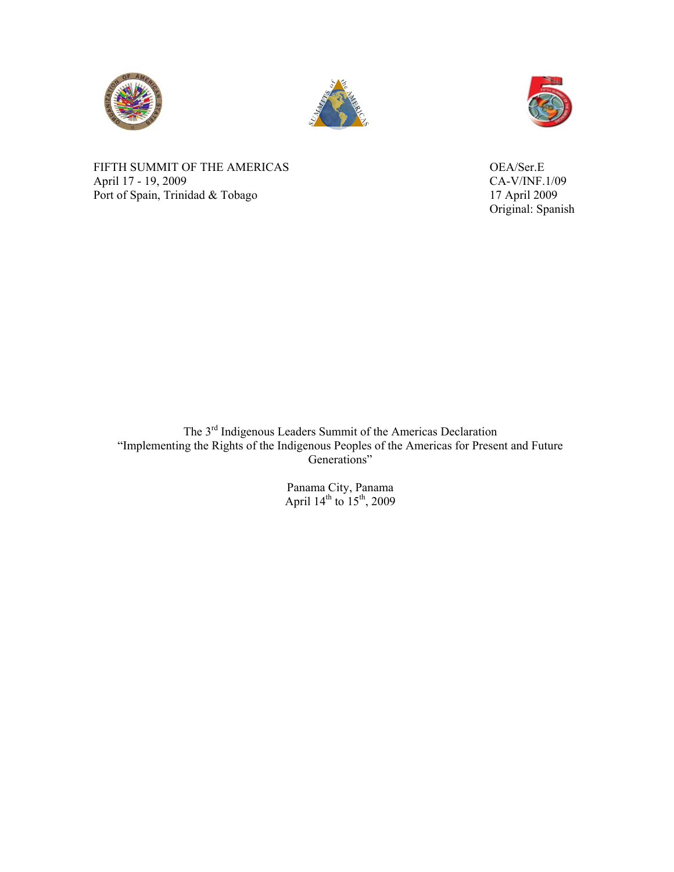





FIFTH SUMMIT OF THE AMERICAS OEA/Ser.E April 17 - 19, 2009<br>
Port of Spain, Trinidad & Tobago<br>
17 April 2009 Port of Spain, Trinidad & Tobago

Original: Spanish

The 3<sup>rd</sup> Indigenous Leaders Summit of the Americas Declaration "Implementing the Rights of the Indigenous Peoples of the Americas for Present and Future Generations"

> Panama City, Panama April  $14^{th}$  to  $15^{th}$ , 2009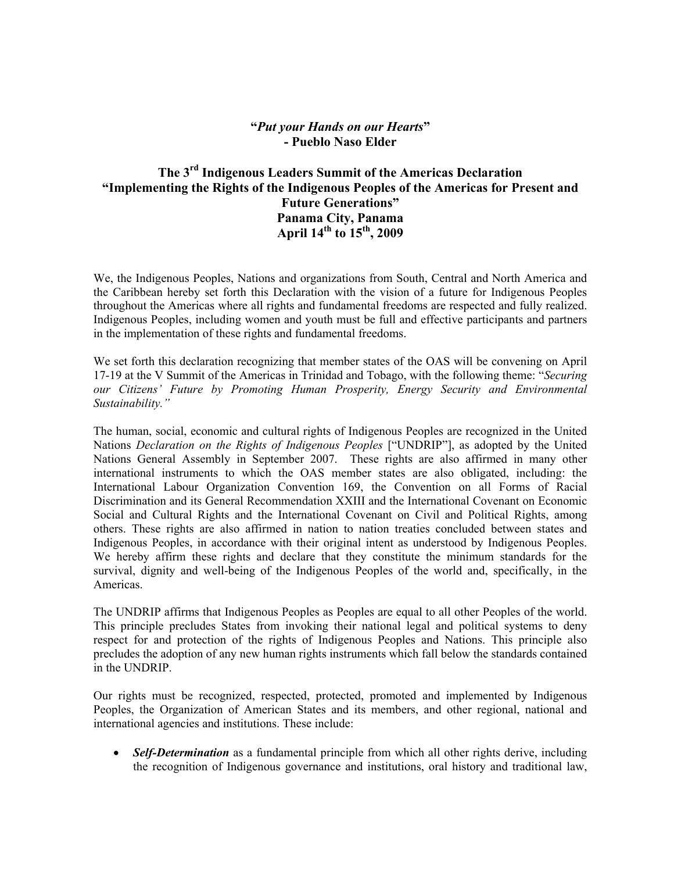## **"***Put your Hands on our Hearts***" - Pueblo Naso Elder**

## **The 3rd Indigenous Leaders Summit of the Americas Declaration "Implementing the Rights of the Indigenous Peoples of the Americas for Present and Future Generations" Panama City, Panama April 14th to 15th, 2009**

We, the Indigenous Peoples, Nations and organizations from South, Central and North America and the Caribbean hereby set forth this Declaration with the vision of a future for Indigenous Peoples throughout the Americas where all rights and fundamental freedoms are respected and fully realized. Indigenous Peoples, including women and youth must be full and effective participants and partners in the implementation of these rights and fundamental freedoms.

We set forth this declaration recognizing that member states of the OAS will be convening on April 17-19 at the V Summit of the Americas in Trinidad and Tobago, with the following theme: "*Securing our Citizens' Future by Promoting Human Prosperity, Energy Security and Environmental Sustainability."*

The human, social, economic and cultural rights of Indigenous Peoples are recognized in the United Nations *Declaration on the Rights of Indigenous Peoples* ["UNDRIP"], as adopted by the United Nations General Assembly in September 2007. These rights are also affirmed in many other international instruments to which the OAS member states are also obligated, including: the International Labour Organization Convention 169, the Convention on all Forms of Racial Discrimination and its General Recommendation XXIII and the International Covenant on Economic Social and Cultural Rights and the International Covenant on Civil and Political Rights, among others. These rights are also affirmed in nation to nation treaties concluded between states and Indigenous Peoples, in accordance with their original intent as understood by Indigenous Peoples. We hereby affirm these rights and declare that they constitute the minimum standards for the survival, dignity and well-being of the Indigenous Peoples of the world and, specifically, in the Americas.

The UNDRIP affirms that Indigenous Peoples as Peoples are equal to all other Peoples of the world. This principle precludes States from invoking their national legal and political systems to deny respect for and protection of the rights of Indigenous Peoples and Nations. This principle also precludes the adoption of any new human rights instruments which fall below the standards contained in the UNDRIP.

Our rights must be recognized, respected, protected, promoted and implemented by Indigenous Peoples, the Organization of American States and its members, and other regional, national and international agencies and institutions. These include:

 *Self-Determination* as a fundamental principle from which all other rights derive, including the recognition of Indigenous governance and institutions, oral history and traditional law,